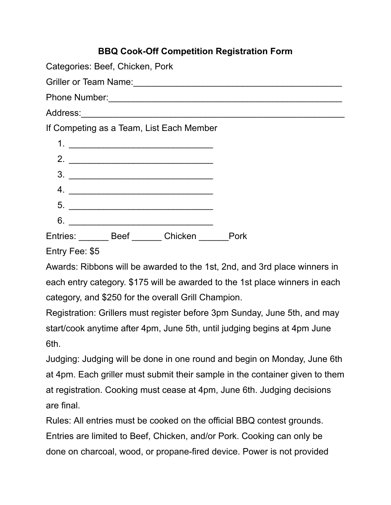|                                          | <b>BBQ Cook-Off Competition Registration Form</b>          |  |
|------------------------------------------|------------------------------------------------------------|--|
| Categories: Beef, Chicken, Pork          |                                                            |  |
|                                          | Griller or Team Name: Campaign Communication of Team Name: |  |
|                                          |                                                            |  |
|                                          |                                                            |  |
| If Competing as a Team, List Each Member |                                                            |  |
|                                          |                                                            |  |
|                                          |                                                            |  |
| 3.                                       |                                                            |  |
| 4. $\qquad \qquad$                       |                                                            |  |
| 5.                                       |                                                            |  |
| 6.                                       |                                                            |  |
| Entries: Beef Chicken                    | Pork                                                       |  |
| Entry Fee: \$5                           |                                                            |  |

Awards: Ribbons will be awarded to the 1st, 2nd, and 3rd place winners in each entry category. \$175 will be awarded to the 1st place winners in each category, and \$250 for the overall Grill Champion.

Registration: Grillers must register before 3pm Sunday, June 5th, and may start/cook anytime after 4pm, June 5th, until judging begins at 4pm June 6th.

Judging: Judging will be done in one round and begin on Monday, June 6th at 4pm. Each griller must submit their sample in the container given to them at registration. Cooking must cease at 4pm, June 6th. Judging decisions are final.

Rules: All entries must be cooked on the official BBQ contest grounds. Entries are limited to Beef, Chicken, and/or Pork. Cooking can only be done on charcoal, wood, or propane-fired device. Power is not provided